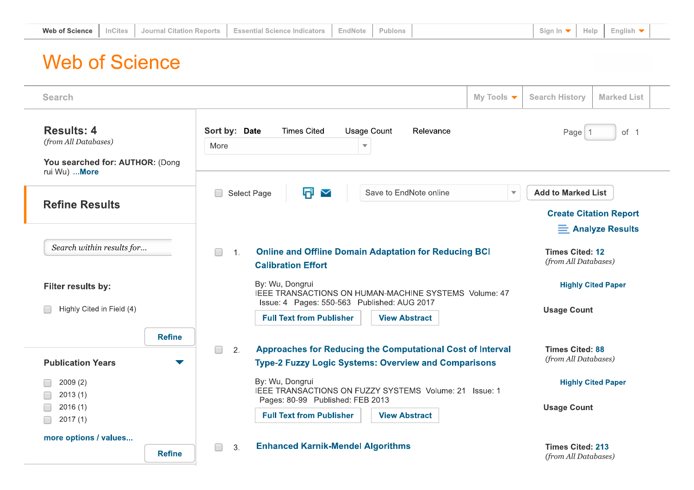| Web of Science | - ites: | └ Citation Reports コ<br>-Journal C | <b>Essential Science Indicators</b> | EndNote |  |  |  | Help | <b>English</b> |  |
|----------------|---------|------------------------------------|-------------------------------------|---------|--|--|--|------|----------------|--|
|----------------|---------|------------------------------------|-------------------------------------|---------|--|--|--|------|----------------|--|

## **Web of Science**

| <b>Search</b>                                                                | My Tools $\blacktriangledown$                                                                                                                    | <b>Search History</b><br><b>Marked List</b>     |  |  |  |
|------------------------------------------------------------------------------|--------------------------------------------------------------------------------------------------------------------------------------------------|-------------------------------------------------|--|--|--|
| <b>Results: 4</b><br>(from All Databases)<br>You searched for: AUTHOR: (Dong | Sort by: Date<br><b>Times Cited</b><br><b>Usage Count</b><br>Relevance<br>More<br>$\overline{\mathbf{v}}$                                        | Page <sup>1</sup><br>of 1                       |  |  |  |
| rui Wu)  More                                                                |                                                                                                                                                  |                                                 |  |  |  |
| <b>Refine Results</b>                                                        | o<br>$\checkmark$<br>Save to EndNote online<br>Select Page<br>$\overline{\mathbf{v}}$                                                            | <b>Add to Marked List</b>                       |  |  |  |
|                                                                              |                                                                                                                                                  | <b>Create Citation Report</b>                   |  |  |  |
|                                                                              |                                                                                                                                                  | $\equiv$ Analyze Results                        |  |  |  |
| Search within results for                                                    | <b>Online and Offline Domain Adaptation for Reducing BCI</b><br>$\mathbf{1}$ .<br><b>Calibration Effort</b>                                      | <b>Times Cited: 12</b><br>(from All Databases)  |  |  |  |
| Filter results by:                                                           | By: Wu, Dongrui<br>IEEE TRANSACTIONS ON HUMAN-MACHINE SYSTEMS Volume: 47<br>Issue: 4 Pages: 550-563 Published: AUG 2017                          | <b>Highly Cited Paper</b>                       |  |  |  |
| Highly Cited in Field (4)                                                    | <b>Full Text from Publisher</b><br><b>View Abstract</b>                                                                                          | <b>Usage Count</b>                              |  |  |  |
| <b>Refine</b>                                                                |                                                                                                                                                  |                                                 |  |  |  |
| <b>Publication Years</b>                                                     | <b>Approaches for Reducing the Computational Cost of Interval</b><br>2.<br>$\Box$<br><b>Type-2 Fuzzy Logic Systems: Overview and Comparisons</b> | <b>Times Cited: 88</b><br>(from All Databases)  |  |  |  |
| 2009(2)<br>2013(1)                                                           | By: Wu, Dongrui<br>IEEE TRANSACTIONS ON FUZZY SYSTEMS Volume: 21 Issue: 1                                                                        | <b>Highly Cited Paper</b>                       |  |  |  |
| 2016(1)<br>2017(1)                                                           | Pages: 80-99 Published: FEB 2013<br><b>Full Text from Publisher</b><br><b>View Abstract</b>                                                      | <b>Usage Count</b>                              |  |  |  |
| more options / values<br><b>Refine</b>                                       | <b>Enhanced Karnik-Mendel Algorithms</b><br>$\Box$<br>3.                                                                                         | <b>Times Cited: 213</b><br>(from All Databases) |  |  |  |
|                                                                              |                                                                                                                                                  |                                                 |  |  |  |